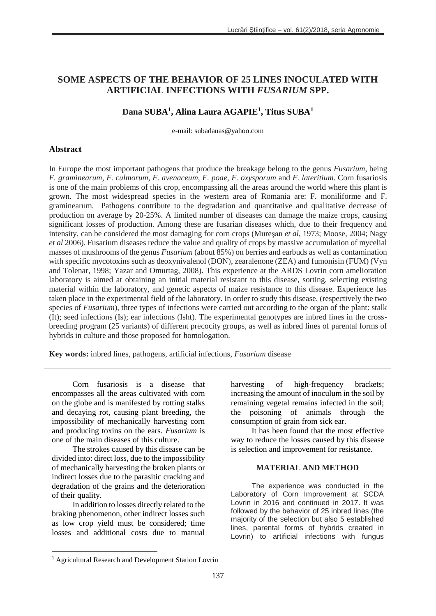# **SOME ASPECTS OF THE BEHAVIOR OF 25 LINES INOCULATED WITH ARTIFICIAL INFECTIONS WITH** *FUSARIUM* **SPP.**

# **Dana SUBA<sup>1</sup> , Alina Laura AGAPIE<sup>1</sup> , Titus SUBA<sup>1</sup>**

e-mail: subadanas@yahoo.com

## **Abstract**

In Europe the most important pathogens that produce the breakage belong to the genus *Fusarium*, being *F. graminearum, F. culmorum, F. avenaceum, F. poae, F. oxysporum* and *F. lateritium*. Corn fusariosis is one of the main problems of this crop, encompassing all the areas around the world where this plant is grown. The most widespread species in the western area of Romania are: F. moniliforme and F. graminearum. Pathogens contribute to the degradation and quantitative and qualitative decrease of production on average by 20-25%. A limited number of diseases can damage the maize crops, causing significant losses of production. Among these are fusarian diseases which, due to their frequency and intensity, can be considered the most damaging for corn crops (Mureşan *et al*, 1973; Moose, 2004; Nagy *et al* 2006). Fusarium diseases reduce the value and quality of crops by massive accumulation of mycelial masses of mushrooms of the genus *Fusarium* (about 85%) on berries and earbuds as well as contamination with specific mycotoxins such as deoxynivalenol (DON), zearalenone (ZEA) and fumonisin (FUM) (Vyn and Tolenar, 1998; Yazar and Omurtag, 2008). This experience at the ARDS Lovrin corn amelioration laboratory is aimed at obtaining an initial material resistant to this disease, sorting, selecting existing material within the laboratory, and genetic aspects of maize resistance to this disease. Experience has taken place in the experimental field of the laboratory. In order to study this disease, (respectively the two species of *Fusarium*), three types of infections were carried out according to the organ of the plant: stalk (It); seed infections (Is); ear infections (Isht). The experimental genotypes are inbred lines in the crossbreeding program (25 variants) of different precocity groups, as well as inbred lines of parental forms of hybrids in culture and those proposed for homologation.

**Key words:** inbred lines, pathogens, artificial infections, *Fusarium* disease

Corn fusariosis is a disease that encompasses all the areas cultivated with corn on the globe and is manifested by rotting stalks and decaying rot, causing plant breeding, the impossibility of mechanically harvesting corn and producing toxins on the ears. *Fusarium* is one of the main diseases of this culture.

The strokes caused by this disease can be divided into: direct loss, due to the impossibility of mechanically harvesting the broken plants or indirect losses due to the parasitic cracking and degradation of the grains and the deterioration of their quality.

In addition to losses directly related to the braking phenomenon, other indirect losses such as low crop yield must be considered; time losses and additional costs due to manual

**.** 

harvesting of high-frequency brackets; increasing the amount of inoculum in the soil by remaining vegetal remains infected in the soil; the poisoning of animals through the consumption of grain from sick ear.

It has been found that the most effective way to reduce the losses caused by this disease is selection and improvement for resistance.

#### **MATERIAL AND METHOD**

The experience was conducted in the Laboratory of Corn Improvement at SCDA Lovrin in 2016 and continued in 2017. It was followed by the behavior of 25 inbred lines (the majority of the selection but also 5 established lines, parental forms of hybrids created in Lovrin) to artificial infections with fungus

<sup>1</sup> Agricultural Research and Development Station Lovrin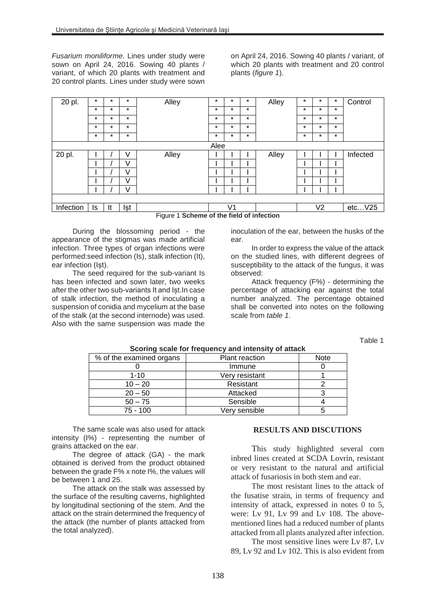*Fusarium moniliforme*. Lines under study were sown on April 24, 2016. Sowing 40 plants / variant, of which 20 plants with treatment and 20 control plants. Lines under study were sown

on April 24, 2016. Sowing 40 plants / variant, of which 20 plants with treatment and 20 control plants (*figure 1*).

| 20 pl.    | $\star$ | $\star$ | $\star$ | Alley                                     | $\star$ | $\ast$  | $\star$ | Alley | $\star$ | $\star$        | $\star$ | Control         |
|-----------|---------|---------|---------|-------------------------------------------|---------|---------|---------|-------|---------|----------------|---------|-----------------|
|           | $\star$ | $\star$ | $\star$ |                                           | $\star$ | $\star$ | $\star$ |       | $\star$ | $\star$        | $\star$ |                 |
|           | $\star$ | $\star$ | $\star$ |                                           | $\star$ | $\star$ | $\star$ |       | $\star$ | $\star$        | $\star$ |                 |
|           | $\star$ | $\star$ | $\star$ |                                           | $\star$ | $\star$ | $\star$ |       | $\star$ | $\star$        | $\star$ |                 |
|           | $\star$ | $\ast$  | $\star$ |                                           | $\star$ | $\star$ | $\star$ |       | $\star$ | $\star$        | $\star$ |                 |
| Alee      |         |         |         |                                           |         |         |         |       |         |                |         |                 |
| 20 pl.    |         |         | V       | Alley                                     |         |         |         | Alley |         |                |         | <b>Infected</b> |
|           |         |         | V       |                                           |         |         |         |       |         |                |         |                 |
|           |         |         | V       |                                           |         |         |         |       |         |                |         |                 |
|           |         |         | V       |                                           |         |         |         |       |         |                |         |                 |
|           |         |         | V       |                                           |         |         |         |       |         |                |         |                 |
|           |         |         |         |                                           |         |         |         |       |         |                |         |                 |
| Infection | Is      | It      | lşt     | Figura 1 Cahama of the field of infection |         | V1      |         |       |         | V <sub>2</sub> |         | etcV25          |

Figure 1 **Scheme of the field of infection**

During the blossoming period - the appearance of the stigmas was made artificial infection. Three types of organ infections were performed:seed infection (Is), stalk infection (It), ear infection (Ist).

The seed required for the sub-variant Is has been infected and sown later, two weeks after the other two sub-variants It and Ist. In case of stalk infection, the method of inoculating a suspension of conidia and mycelium at the base of the stalk (at the second internode) was used. Also with the same suspension was made the

inoculation of the ear, between the husks of the ear.

In order to express the value of the attack on the studied lines, with different degrees of susceptibility to the attack of the fungus, it was observed:

Attack frequency (F%) - determining the percentage of attacking ear against the total number analyzed. The percentage obtained shall be converted into notes on the following scale from *table 1*.

Table 1

| % of the examined organs | <b>Plant reaction</b> | <b>Note</b> |  |  |
|--------------------------|-----------------------|-------------|--|--|
|                          | Immune                |             |  |  |
| $1 - 10$                 | Very resistant        |             |  |  |
| $10 - 20$                | Resistant             |             |  |  |
| $20 - 50$                | Attacked              |             |  |  |
| $50 - 75$                | Sensible              |             |  |  |
| $75 - 100$               | Very sensible         |             |  |  |

**Scoring scale for frequency and intensity of attack**

The same scale was also used for attack intensity (I%) - representing the number of grains attacked on the ear.

The degree of attack (GA) - the mark obtained is derived from the product obtained between the grade F% x note I%, the values will be between 1 and 25.

The attack on the stalk was assessed by the surface of the resulting caverns, highlighted by longitudinal sectioning of the stem. And the attack on the strain determined the frequency of the attack (the number of plants attacked from the total analyzed).

### **RESULTS AND DISCUTIONS**

This study highlighted several corn inbred lines created at SCDA Lovrin, resistant or very resistant to the natural and artificial attack of fusariosis in both stem and ear.

The most resistant lines to the attack of the fusatise strain, in terms of frequency and intensity of attack, expressed in notes 0 to 5, were: Lv 91, Lv 99 and Lv 108. The abovementioned lines had a reduced number of plants attacked from all plants analyzed after infection.

The most sensitive lines were Lv 87, Lv 89, Lv 92 and Lv 102. This is also evident from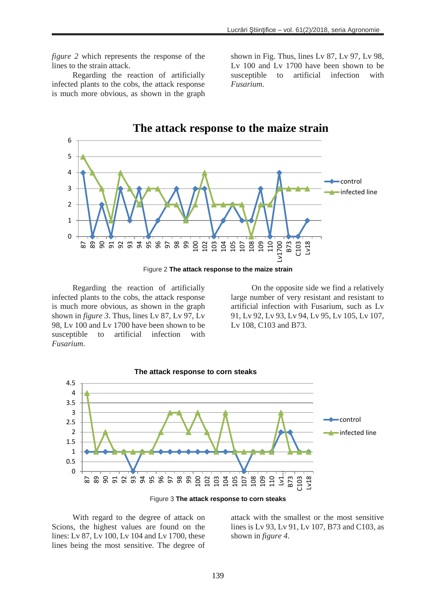*figure 2* which represents the response of the lines to the strain attack.

Regarding the reaction of artificially infected plants to the cobs, the attack response is much more obvious, as shown in the graph shown in Fig. Thus, lines Lv 87, Lv 97, Lv 98, Lv 100 and Lv 1700 have been shown to be susceptible to artificial infection with *Fusarium*.



Regarding the reaction of artificially infected plants to the cobs, the attack response is much more obvious, as shown in the graph shown in *figure 3*. Thus, lines Lv 87, Lv 97, Lv 98, Lv 100 and Lv 1700 have been shown to be susceptible to artificial infection with *Fusarium*.

On the opposite side we find a relatively large number of very resistant and resistant to artificial infection with Fusarium, such as Lv 91, Lv 92, Lv 93, Lv 94, Lv 95, Lv 105, Lv 107, Lv 108, C103 and B73.



Figure 3 **The attack response to corn steaks**

With regard to the degree of attack on Scions, the highest values are found on the lines: Lv 87, Lv 100, Lv 104 and Lv 1700, these lines being the most sensitive. The degree of

attack with the smallest or the most sensitive lines is Lv 93, Lv 91, Lv 107, B73 and C103, as shown in *figure 4*.